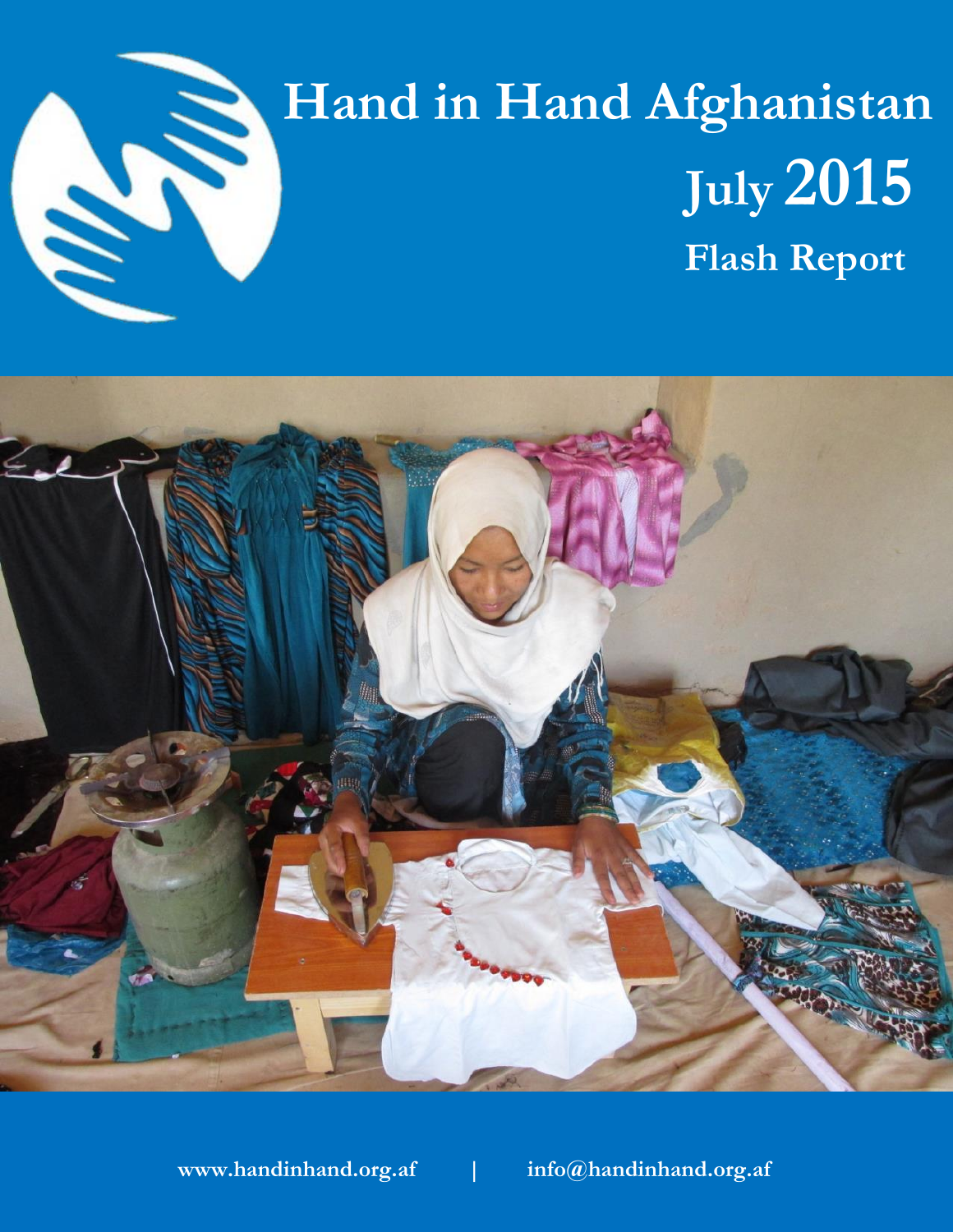

## **Hand in Hand Afghanistan July 2015 Flash Report**



**www.handinhand.org.af | info@handinhand.org.af**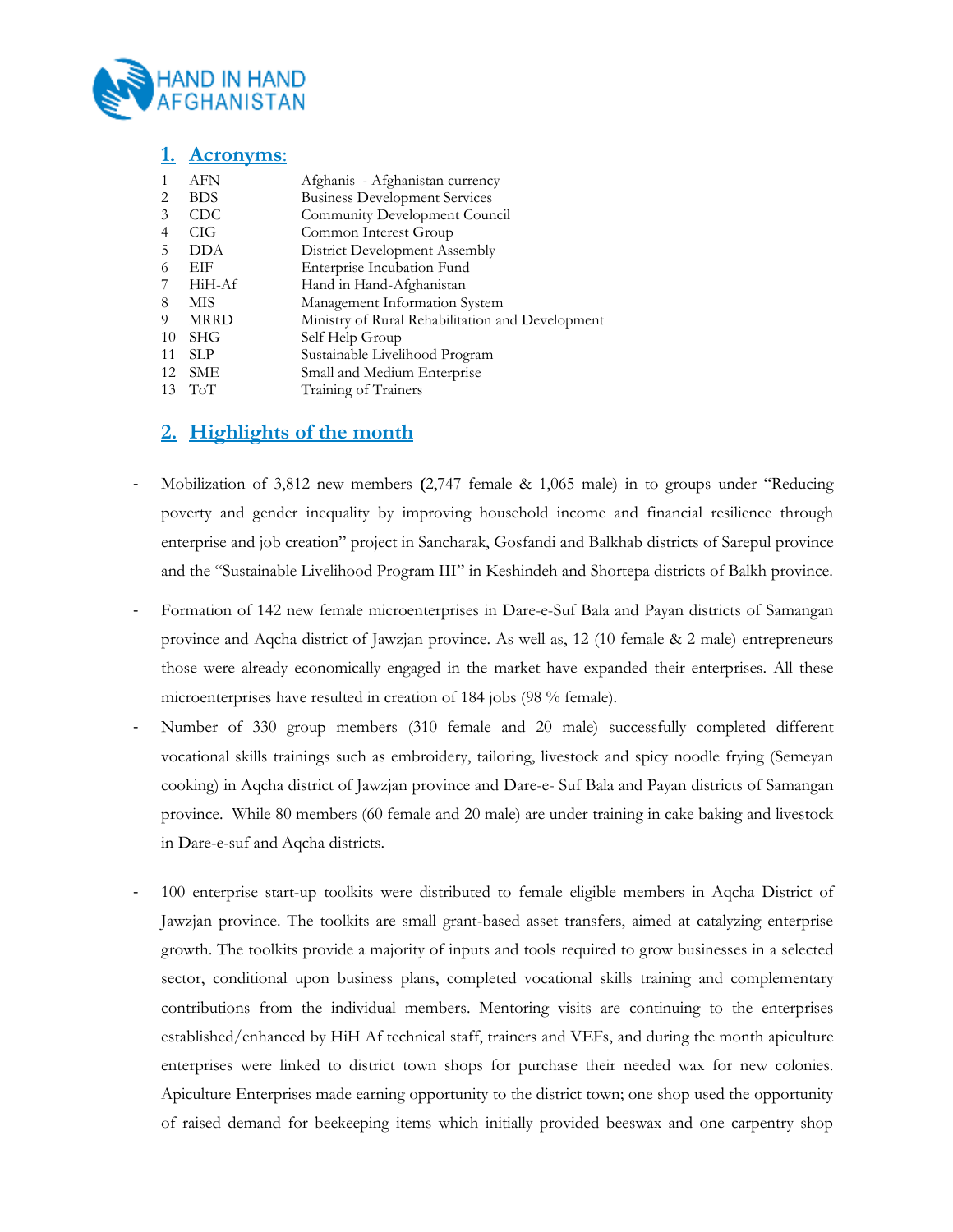

|    | <b>Acronyms:</b> |                                                  |
|----|------------------|--------------------------------------------------|
|    | <b>AFN</b>       | Afghanis - Afghanistan currency                  |
| 2  | <b>BDS</b>       | <b>Business Development Services</b>             |
| 3  | <b>CDC</b>       | Community Development Council                    |
| 4  | CIG              | Common Interest Group                            |
| 5  | <b>DDA</b>       | District Development Assembly                    |
| 6  | EIF              | Enterprise Incubation Fund                       |
|    | HiH-Af           | Hand in Hand-Afghanistan                         |
| 8  | MIS              | Management Information System                    |
| 9  | <b>MRRD</b>      | Ministry of Rural Rehabilitation and Development |
| 10 | <b>SHG</b>       | Self Help Group                                  |
| 11 | SLP              | Sustainable Livelihood Program                   |
| 12 | <b>SME</b>       | Small and Medium Enterprise                      |
| 13 | ToT              | Training of Trainers                             |

## **2. Highlights of the month**

- Mobilization of 3,812 new members **(**2,747 female & 1,065 male) in to groups under "Reducing poverty and gender inequality by improving household income and financial resilience through enterprise and job creation" project in Sancharak, Gosfandi and Balkhab districts of Sarepul province and the "Sustainable Livelihood Program III" in Keshindeh and Shortepa districts of Balkh province.
- Formation of 142 new female microenterprises in Dare-e-Suf Bala and Payan districts of Samangan province and Aqcha district of Jawzjan province. As well as, 12 (10 female & 2 male) entrepreneurs those were already economically engaged in the market have expanded their enterprises. All these microenterprises have resulted in creation of 184 jobs (98 % female).
- Number of 330 group members (310 female and 20 male) successfully completed different vocational skills trainings such as embroidery, tailoring, livestock and spicy noodle frying (Semeyan cooking) in Aqcha district of Jawzjan province and Dare-e- Suf Bala and Payan districts of Samangan province. While 80 members (60 female and 20 male) are under training in cake baking and livestock in Dare-e-suf and Aqcha districts.
- 100 enterprise start-up toolkits were distributed to female eligible members in Aqcha District of Jawzjan province. The toolkits are small grant-based asset transfers, aimed at catalyzing enterprise growth. The toolkits provide a majority of inputs and tools required to grow businesses in a selected sector, conditional upon business plans, completed vocational skills training and complementary contributions from the individual members. Mentoring visits are continuing to the enterprises established/enhanced by HiH Af technical staff, trainers and VEFs, and during the month apiculture enterprises were linked to district town shops for purchase their needed wax for new colonies. Apiculture Enterprises made earning opportunity to the district town; one shop used the opportunity of raised demand for beekeeping items which initially provided beeswax and one carpentry shop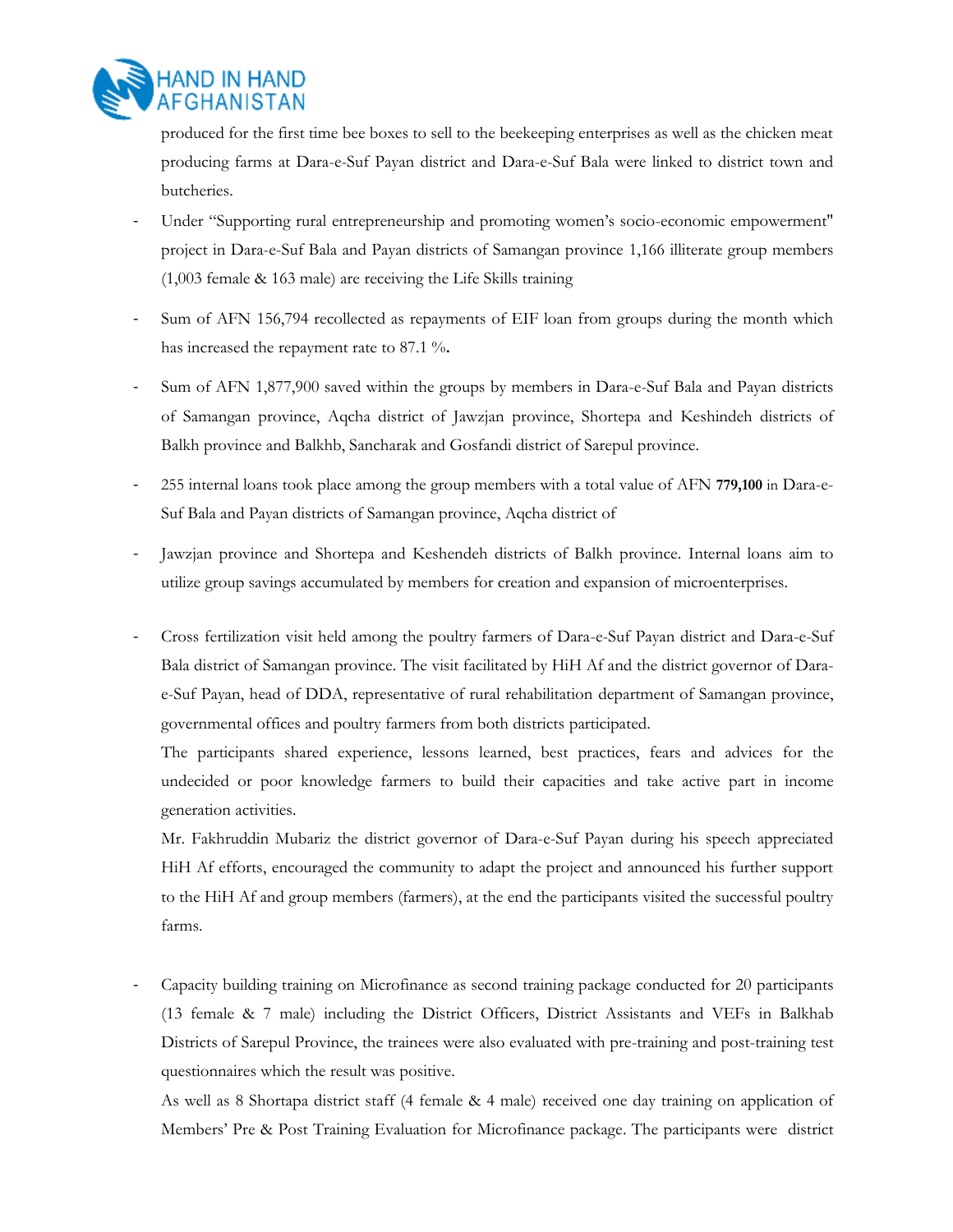

produced for the first time bee boxes to sell to the beekeeping enterprises as well as the chicken meat producing farms at Dara-e-Suf Payan district and Dara-e-Suf Bala were linked to district town and butcheries.

- Under "Supporting rural entrepreneurship and promoting women's socio-economic empowerment" project in Dara-e-Suf Bala and Payan districts of Samangan province 1,166 illiterate group members (1,003 female & 163 male) are receiving the Life Skills training
- Sum of AFN 156,794 recollected as repayments of EIF loan from groups during the month which has increased the repayment rate to 87.1 %.
- Sum of AFN 1,877,900 saved within the groups by members in Dara-e-Suf Bala and Payan districts of Samangan province, Aqcha district of Jawzjan province, Shortepa and Keshindeh districts of Balkh province and Balkhb, Sancharak and Gosfandi district of Sarepul province.
- 255 internal loans took place among the group members with a total value of AFN **779,100** in Dara-e-Suf Bala and Payan districts of Samangan province, Aqcha district of
- Jawzjan province and Shortepa and Keshendeh districts of Balkh province. Internal loans aim to utilize group savings accumulated by members for creation and expansion of microenterprises.
- Cross fertilization visit held among the poultry farmers of Dara-e-Suf Payan district and Dara-e-Suf Bala district of Samangan province. The visit facilitated by HiH Af and the district governor of Darae-Suf Payan, head of DDA, representative of rural rehabilitation department of Samangan province, governmental offices and poultry farmers from both districts participated.

The participants shared experience, lessons learned, best practices, fears and advices for the undecided or poor knowledge farmers to build their capacities and take active part in income generation activities.

Mr. Fakhruddin Mubariz the district governor of Dara-e-Suf Payan during his speech appreciated HiH Af efforts, encouraged the community to adapt the project and announced his further support to the HiH Af and group members (farmers), at the end the participants visited the successful poultry farms.

- Capacity building training on Microfinance as second training package conducted for 20 participants (13 female & 7 male) including the District Officers, District Assistants and VEFs in Balkhab Districts of Sarepul Province, the trainees were also evaluated with pre-training and post-training test questionnaires which the result was positive.

As well as 8 Shortapa district staff (4 female & 4 male) received one day training on application of Members' Pre & Post Training Evaluation for Microfinance package. The participants were district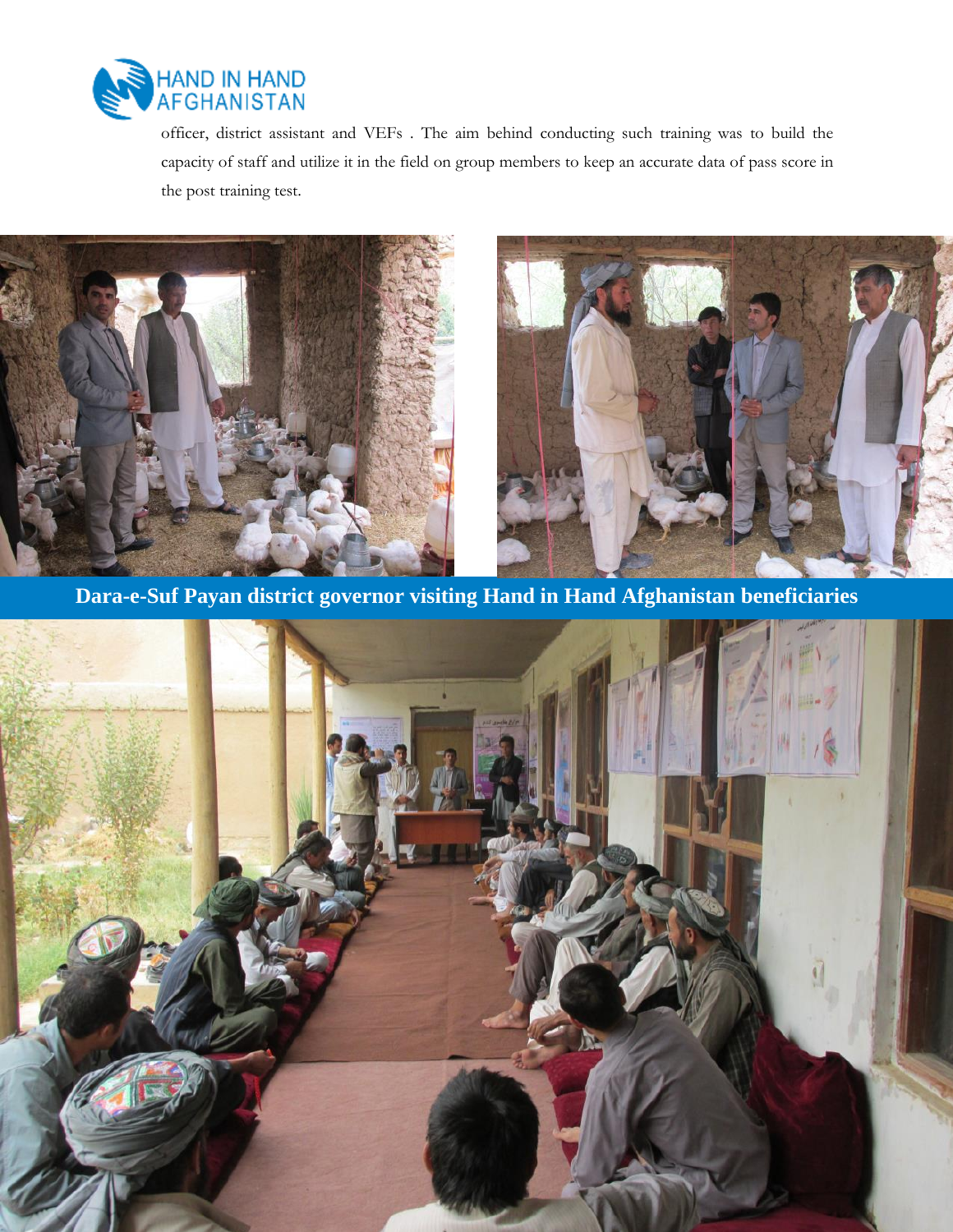

officer, district assistant and VEFs . The aim behind conducting such training was to build the capacity of staff and utilize it in the field on group members to keep an accurate data of pass score in the post training test.





**Dara-e-Suf Payan district governor visiting Hand in Hand Afghanistan beneficiaries**

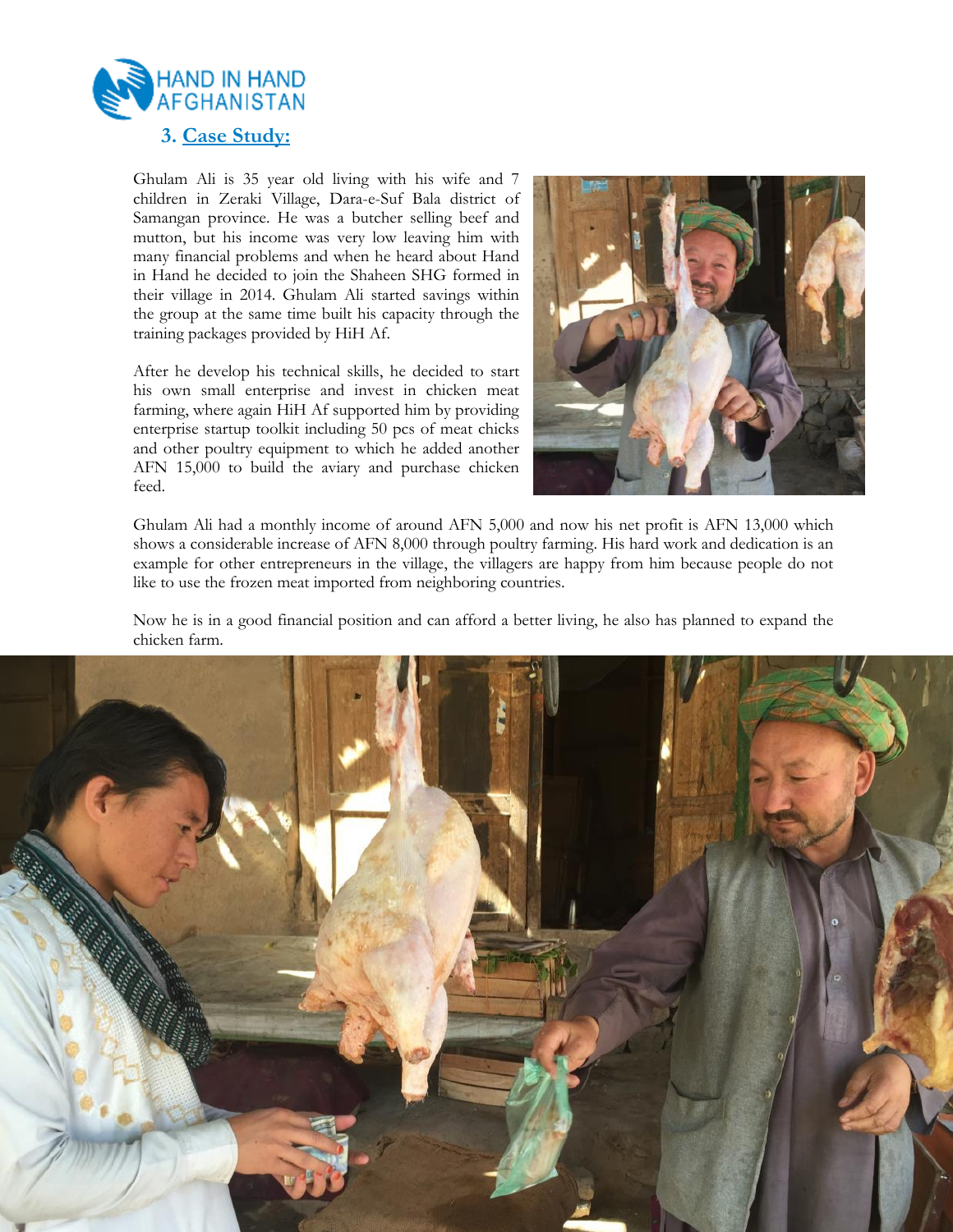

Ghulam Ali is 35 year old living with his wife and 7 children in Zeraki Village, Dara-e-Suf Bala district of Samangan province. He was a butcher selling beef and mutton, but his income was very low leaving him with many financial problems and when he heard about Hand in Hand he decided to join the Shaheen SHG formed in their village in 2014. Ghulam Ali started savings within the group at the same time built his capacity through the training packages provided by HiH Af.

After he develop his technical skills, he decided to start his own small enterprise and invest in chicken meat farming, where again HiH Af supported him by providing enterprise startup toolkit including 50 pcs of meat chicks and other poultry equipment to which he added another AFN 15,000 to build the aviary and purchase chicken feed.



Ghulam Ali had a monthly income of around AFN 5,000 and now his net profit is AFN 13,000 which shows a considerable increase of AFN 8,000 through poultry farming. His hard work and dedication is an example for other entrepreneurs in the village, the villagers are happy from him because people do not like to use the frozen meat imported from neighboring countries.

Now he is in a good financial position and can afford a better living, he also has planned to expand the chicken farm.

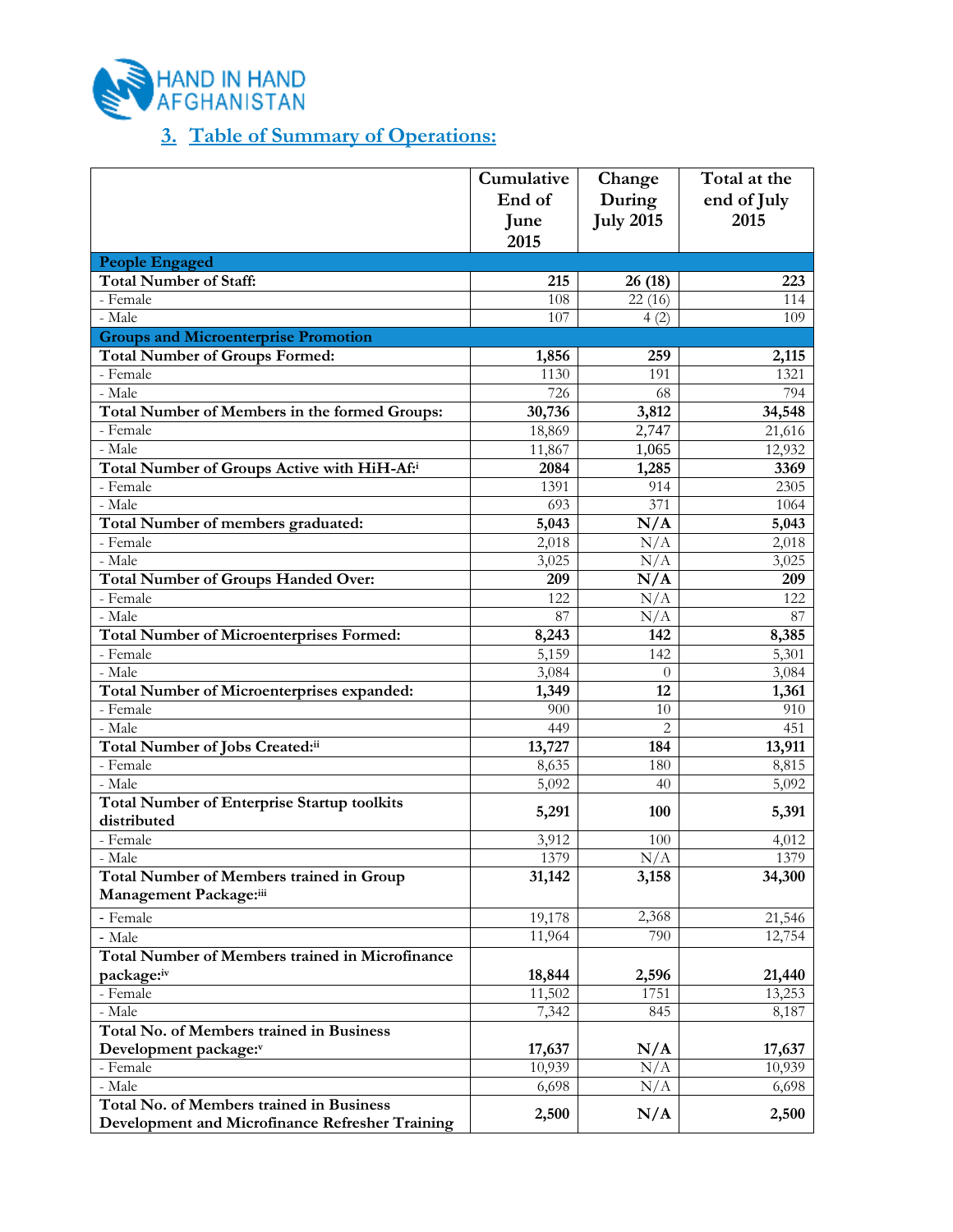

## **3. Table of Summary of Operations:**

|                                                        | Cumulative | Change           | Total at the |
|--------------------------------------------------------|------------|------------------|--------------|
|                                                        | End of     | During           | end of July  |
|                                                        | June       | <b>July 2015</b> | 2015         |
|                                                        | 2015       |                  |              |
| <b>People Engaged</b>                                  |            |                  |              |
| <b>Total Number of Staff:</b>                          | 215        | 26 (18)          | 223          |
| - Female                                               | 108        | 22(16)           | 114          |
| - Male                                                 | 107        | 4(2)             | 109          |
| <b>Groups and Microenterprise Promotion</b>            |            |                  |              |
| <b>Total Number of Groups Formed:</b>                  | 1,856      | 259              | 2,115        |
| - Female                                               | 1130       | 191              | 1321         |
| - Male                                                 | 726        | 68               | 794          |
| Total Number of Members in the formed Groups:          | 30,736     | 3,812            | 34,548       |
| - Female                                               | 18,869     | 2,747            | 21,616       |
| - Male                                                 | 11,867     | 1,065            | 12,932       |
| Total Number of Groups Active with HiH-Af:i            | 2084       | 1,285            | 3369         |
| - Female                                               | 1391       | 914              | 2305         |
| - Male                                                 | 693        | 371              | 1064         |
| Total Number of members graduated:                     | 5,043      | N/A              | 5,043        |
| - Female                                               | 2,018      | N/A              | 2,018        |
| - Male                                                 | 3,025      | N/A              | 3,025        |
| <b>Total Number of Groups Handed Over:</b>             | 209        | N/A              | 209          |
| - Female                                               | 122        | N/A              | 122          |
| - Male                                                 | 87         | N/A              | 87           |
| <b>Total Number of Microenterprises Formed:</b>        | 8,243      | 142              | 8,385        |
| - Female                                               | 5,159      | 142              | 5,301        |
| - Male                                                 | 3,084      | $\theta$         | 3,084        |
| Total Number of Microenterprises expanded:             | 1,349      | 12               | 1,361        |
| - Female                                               | 900        | 10               | 910          |
| - Male                                                 | 449        | $\overline{2}$   | 451          |
| Total Number of Jobs Created:ii                        | 13,727     | 184              | 13,911       |
| - Female                                               | 8,635      | 180              | 8,815        |
| - Male                                                 | 5,092      | 40               | 5,092        |
| <b>Total Number of Enterprise Startup toolkits</b>     |            |                  |              |
| distributed                                            | 5,291      | 100              | 5,391        |
| - Female                                               | 3,912      | 100              | 4,012        |
| - Male                                                 | 1379       | N/A              | 1379         |
| <b>Total Number of Members trained in Group</b>        | 31,142     | 3,158            | 34,300       |
| Management Package:iii                                 |            |                  |              |
| - Female                                               | 19,178     | 2,368            | 21,546       |
| - Male                                                 | 11,964     | 790              | 12,754       |
| <b>Total Number of Members trained in Microfinance</b> |            |                  |              |
| package:iv                                             | 18,844     | 2,596            | 21,440       |
| - Female                                               | 11,502     | 1751             | 13,253       |
| - Male                                                 | 7,342      | 845              | 8,187        |
| Total No. of Members trained in Business               |            |                  |              |
| Development package:v                                  | 17,637     | N/A              | 17,637       |
| - Female                                               | 10,939     | N/A              | 10,939       |
| - Male                                                 | 6,698      | N/A              | 6,698        |
| Total No. of Members trained in Business               |            |                  |              |
| Development and Microfinance Refresher Training        | 2,500      | N/A              | 2,500        |